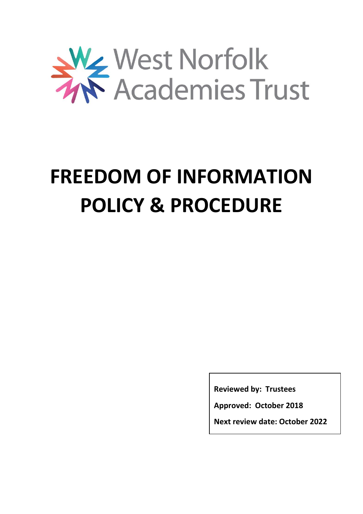

# **FREEDOM OF INFORMATION POLICY & PROCEDURE**

**Reviewed by: Trustees**

**Approved: October 2018**

**Next review date: October 2022**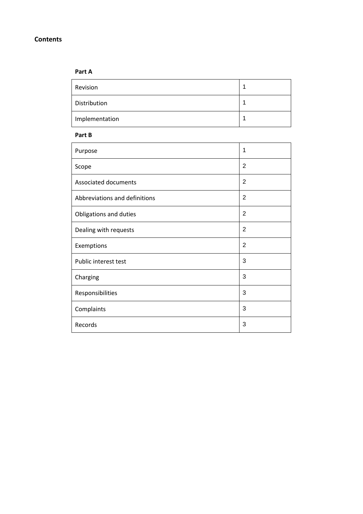## **Contents**

# **Part A**

| Revision       |  |
|----------------|--|
| Distribution   |  |
| Implementation |  |

#### **Part B**

| Purpose                       | 1              |
|-------------------------------|----------------|
| Scope                         | 2              |
| Associated documents          | $\overline{2}$ |
| Abbreviations and definitions | $\overline{2}$ |
| Obligations and duties        | $\overline{2}$ |
| Dealing with requests         | $\overline{2}$ |
| Exemptions                    | $\overline{2}$ |
| Public interest test          | 3              |
| Charging                      | 3              |
| Responsibilities              | 3              |
| Complaints                    | 3              |
| Records                       | 3              |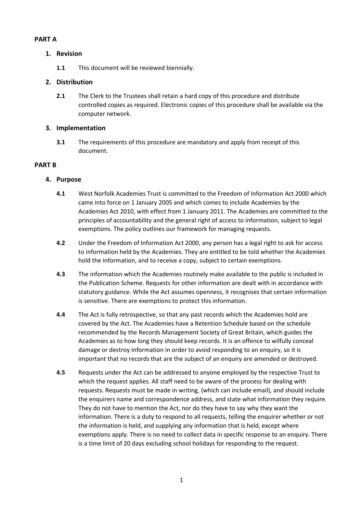# **PART A**

# **1. Revision**

**1.1** This document will be reviewed biennially.

# **2. Distribution**

**2.1** The Clerk to the Trustees shall retain a hard copy of this procedure and distribute controlled copies as required. Electronic copies of this procedure shall be available via the computer network.

# **3. Implementation**

**3.1** The requirements of this procedure are mandatory and apply from receipt of this document.

# **PART B**

# **4. Purpose**

- **4.1** West Norfolk Academies Trust is committed to the Freedom of Information Act 2000 which came into force on 1 January 2005 and which comes to include Academies by the Academies Act 2010, with effect from 1 January 2011. The Academies are committed to the principles of accountability and the general right of access to information, subject to legal exemptions. The policy outlines our framework for managing requests.
- **4.2** Under the Freedom of Information Act 2000, any person has a legal right to ask for access to information held by the Academies. They are entitled to be told whether the Academies hold the information, and to receive a copy, subject to certain exemptions.
- **4.3** The information which the Academies routinely make available to the public is included in the Publication Scheme. Requests for other information are dealt with in accordance with statutory guidance. While the Act assumes openness, it recognises that certain information is sensitive. There are exemptions to protect this information.
- **4.4** The Act is fully retrospective, so that any past records which the Academies hold are covered by the Act. The Academies have a Retention Schedule based on the schedule recommended by the Records Management Society of Great Britain, which guides the Academies as to how long they should keep records. It is an offence to wilfully conceal damage or destroy information in order to avoid responding to an enquiry, so it is important that no records that are the subject of an enquiry are amended or destroyed.
- **4.5** Requests under the Act can be addressed to anyone employed by the respective Trust to which the request applies. All staff need to be aware of the process for dealing with requests. Requests must be made in writing, (which can include email), and should include the enquirers name and correspondence address, and state what information they require. They do not have to mention the Act, nor do they have to say why they want the information. There is a duty to respond to all requests, telling the enquirer whether or not the information is held, and supplying any information that is held, except where exemptions apply. There is no need to collect data in specific response to an enquiry. There is a time limit of 20 days excluding school holidays for responding to the request.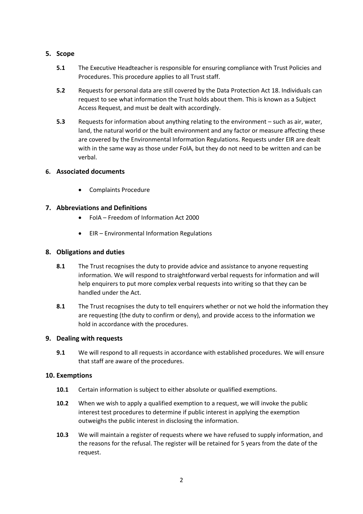# **5. Scope**

- **5.1** The Executive Headteacher is responsible for ensuring compliance with Trust Policies and Procedures. This procedure applies to all Trust staff.
- **5.2** Requests for personal data are still covered by the Data Protection Act 18. Individuals can request to see what information the Trust holds about them. This is known as a Subject Access Request, and must be dealt with accordingly.
- **5.3** Requests for information about anything relating to the environment such as air, water, land, the natural world or the built environment and any factor or measure affecting these are covered by the Environmental Information Regulations. Requests under EIR are dealt with in the same way as those under FoIA, but they do not need to be written and can be verbal.

## **6. Associated documents**

Complaints Procedure

# **7. Abbreviations and Definitions**

- FoIA Freedom of Information Act 2000
- EIR Environmental Information Regulations

# **8. Obligations and duties**

- **8.1** The Trust recognises the duty to provide advice and assistance to anyone requesting information. We will respond to straightforward verbal requests for information and will help enquirers to put more complex verbal requests into writing so that they can be handled under the Act.
- **8.1** The Trust recognises the duty to tell enquirers whether or not we hold the information they are requesting (the duty to confirm or deny), and provide access to the information we hold in accordance with the procedures.

## **9. Dealing with requests**

**9.1** We will respond to all requests in accordance with established procedures. We will ensure that staff are aware of the procedures.

## **10. Exemptions**

- **10.1** Certain information is subject to either absolute or qualified exemptions.
- **10.2** When we wish to apply a qualified exemption to a request, we will invoke the public interest test procedures to determine if public interest in applying the exemption outweighs the public interest in disclosing the information.
- **10.3** We will maintain a register of requests where we have refused to supply information, and the reasons for the refusal. The register will be retained for 5 years from the date of the request.